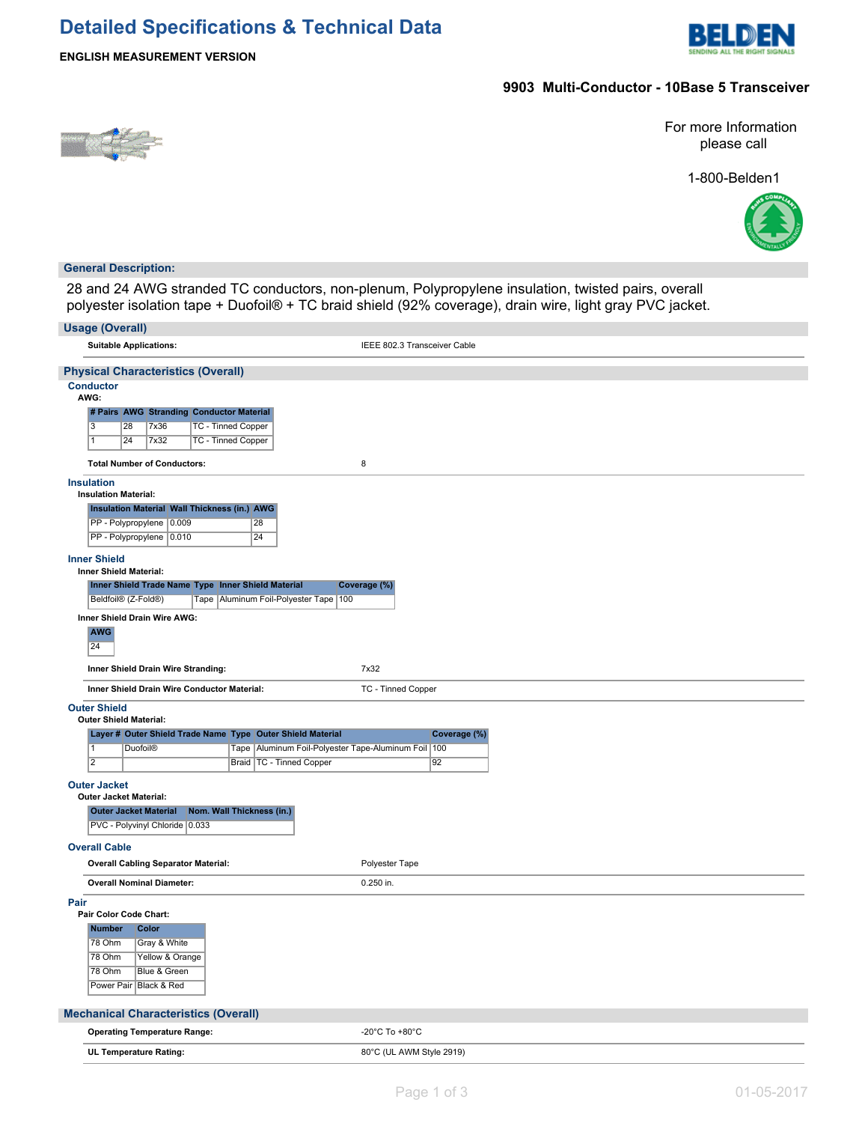# **Detailed Specifications & Technical Data**



## **9903 Multi-Conductor - 10Base 5 Transceiver**



For more Information please call

1-800-Belden1



#### **General Description:**

28 and 24 AWG stranded TC conductors, non-plenum, Polypropylene insulation, twisted pairs, overall polyester isolation tape + Duofoil® + TC braid shield (92% coverage), drain wire, light gray PVC jacket.

| <b>Usage (Overall)</b>                                                                                                                                |                              |  |  |  |  |  |  |
|-------------------------------------------------------------------------------------------------------------------------------------------------------|------------------------------|--|--|--|--|--|--|
| <b>Suitable Applications:</b>                                                                                                                         | IEEE 802.3 Transceiver Cable |  |  |  |  |  |  |
| <b>Physical Characteristics (Overall)</b>                                                                                                             |                              |  |  |  |  |  |  |
| <b>Conductor</b><br>AWG:                                                                                                                              |                              |  |  |  |  |  |  |
| # Pairs AWG Stranding Conductor Material<br>$\overline{3}$<br>7x36<br><b>TC - Tinned Copper</b><br>28<br>24<br><b>7x32</b><br>TC - Tinned Copper<br>1 |                              |  |  |  |  |  |  |
| <b>Total Number of Conductors:</b>                                                                                                                    | 8                            |  |  |  |  |  |  |
| <b>Insulation</b><br><b>Insulation Material:</b>                                                                                                      |                              |  |  |  |  |  |  |
| <b>Insulation Material Wall Thickness (in.) AWG</b><br>PP - Polypropylene 0.009<br>28<br>PP - Polypropylene 0.010<br>24                               |                              |  |  |  |  |  |  |
| <b>Inner Shield</b><br>Inner Shield Material:                                                                                                         |                              |  |  |  |  |  |  |
| Inner Shield Trade Name Type Inner Shield Material<br>Beldfoil® (Z-Fold®)<br>Tape   Aluminum Foil-Polyester Tape   100                                | Coverage (%)                 |  |  |  |  |  |  |
| Inner Shield Drain Wire AWG:                                                                                                                          |                              |  |  |  |  |  |  |
| <b>AWG</b><br>24                                                                                                                                      |                              |  |  |  |  |  |  |
| Inner Shield Drain Wire Stranding:                                                                                                                    | 7x32                         |  |  |  |  |  |  |
| Inner Shield Drain Wire Conductor Material:                                                                                                           | TC - Tinned Copper           |  |  |  |  |  |  |
| <b>Outer Shield</b><br><b>Outer Shield Material:</b>                                                                                                  |                              |  |  |  |  |  |  |
| Layer # Outer Shield Trade Name Type Outer Shield Material                                                                                            | Coverage (%)                 |  |  |  |  |  |  |
| Tape   Aluminum Foil-Polyester Tape-Aluminum Foil   100<br><b>Duofoil®</b><br>1                                                                       |                              |  |  |  |  |  |  |
| $\overline{2}$<br>Braid   TC - Tinned Copper                                                                                                          | 92                           |  |  |  |  |  |  |
| <b>Outer Jacket</b>                                                                                                                                   |                              |  |  |  |  |  |  |
| <b>Outer Jacket Material:</b><br><b>Outer Jacket Material</b><br>Nom. Wall Thickness (in.)                                                            |                              |  |  |  |  |  |  |
| PVC - Polyvinyl Chloride 0.033                                                                                                                        |                              |  |  |  |  |  |  |
| <b>Overall Cable</b>                                                                                                                                  |                              |  |  |  |  |  |  |
| <b>Overall Cabling Separator Material:</b>                                                                                                            | Polyester Tape               |  |  |  |  |  |  |
| <b>Overall Nominal Diameter:</b>                                                                                                                      | 0.250 in.                    |  |  |  |  |  |  |
| Pair<br>Pair Color Code Chart:                                                                                                                        |                              |  |  |  |  |  |  |
| <b>Number</b><br>Color<br>78 Ohm<br>Gray & White<br>78 Ohm<br>Yellow & Orange<br>78 Ohm<br>Blue & Green<br>Power Pair   Black & Red                   |                              |  |  |  |  |  |  |
| <b>Mechanical Characteristics (Overall)</b>                                                                                                           |                              |  |  |  |  |  |  |
| <b>Operating Temperature Range:</b>                                                                                                                   | -20°C To +80°C               |  |  |  |  |  |  |
| UL Temperature Rating:                                                                                                                                | 80°C (UL AWM Style 2919)     |  |  |  |  |  |  |
|                                                                                                                                                       |                              |  |  |  |  |  |  |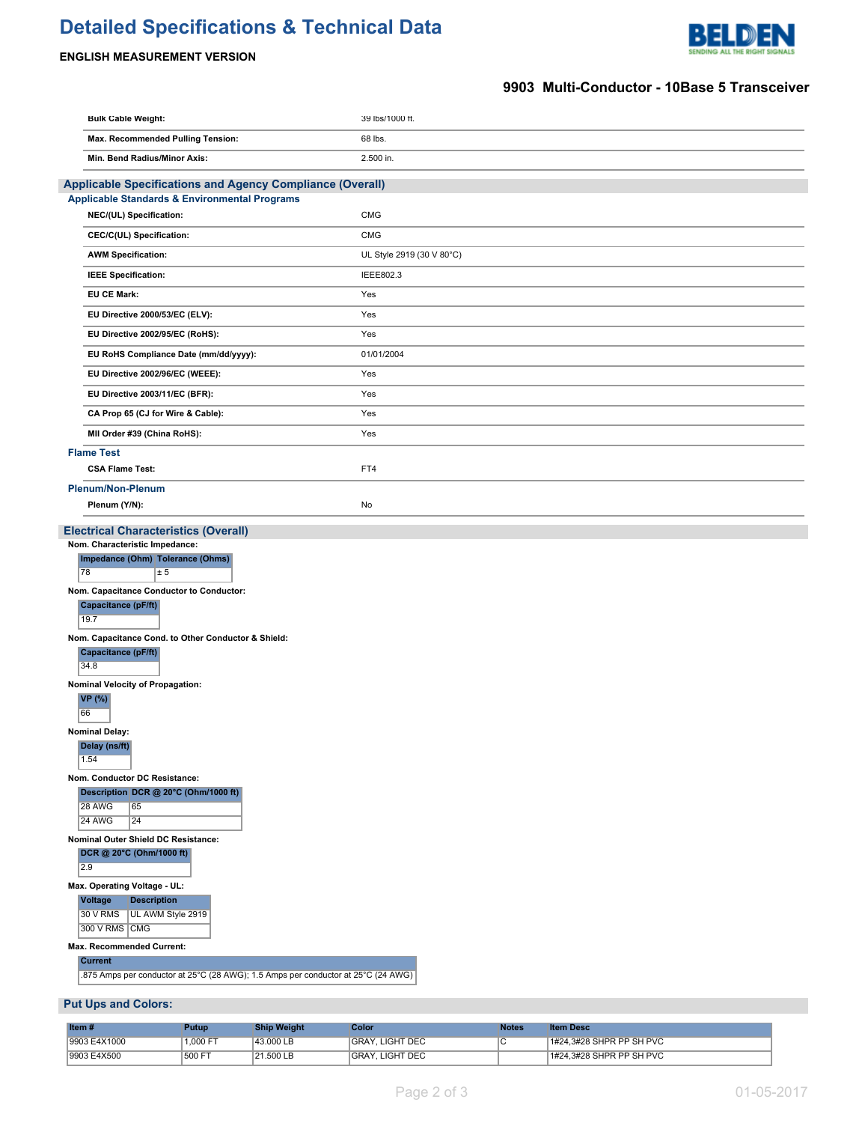# **Detailed Specifications & Technical Data**



# **ENGLISH MEASUREMENT VERSION**

## **9903 Multi-Conductor - 10Base 5 Transceiver**

| <b>Bulk Cable Weight:</b>                                                  | 39 lbs/1000 ft.           |  |  |  |
|----------------------------------------------------------------------------|---------------------------|--|--|--|
| Max. Recommended Pulling Tension:                                          | 68 lbs.                   |  |  |  |
| Min. Bend Radius/Minor Axis:                                               | 2.500 in.                 |  |  |  |
| Applicable Specifications and Agency Compliance (Overall)                  |                           |  |  |  |
| <b>Applicable Standards &amp; Environmental Programs</b>                   |                           |  |  |  |
| NEC/(UL) Specification:                                                    | CMG                       |  |  |  |
| CEC/C(UL) Specification:                                                   | <b>CMG</b>                |  |  |  |
| <b>AWM Specification:</b>                                                  | UL Style 2919 (30 V 80°C) |  |  |  |
| <b>IEEE Specification:</b>                                                 | IEEE802.3                 |  |  |  |
| <b>EU CE Mark:</b>                                                         | Yes                       |  |  |  |
| EU Directive 2000/53/EC (ELV):                                             | Yes                       |  |  |  |
| EU Directive 2002/95/EC (RoHS):                                            | Yes                       |  |  |  |
| EU RoHS Compliance Date (mm/dd/yyyy):                                      | 01/01/2004                |  |  |  |
| EU Directive 2002/96/EC (WEEE):                                            | Yes                       |  |  |  |
| EU Directive 2003/11/EC (BFR):                                             | Yes                       |  |  |  |
| CA Prop 65 (CJ for Wire & Cable):                                          | Yes                       |  |  |  |
| MII Order #39 (China RoHS):                                                | Yes                       |  |  |  |
| <b>Flame Test</b>                                                          |                           |  |  |  |
| <b>CSA Flame Test:</b>                                                     | FT4                       |  |  |  |
| Plenum/Non-Plenum                                                          |                           |  |  |  |
| Plenum (Y/N):                                                              |                           |  |  |  |
| <b>Electrical Characteristics (Overall)</b>                                |                           |  |  |  |
| Nom. Characteristic Impedance:<br>Impedance (Ohm) Tolerance (Ohms)         |                           |  |  |  |
| 78<br>± 5                                                                  |                           |  |  |  |
| Nom. Capacitance Conductor to Conductor:                                   |                           |  |  |  |
| Capacitance (pF/ft)<br>19.7                                                | No                        |  |  |  |
| Nom. Capacitance Cond. to Other Conductor & Shield:<br>Capacitance (pF/ft) |                           |  |  |  |
| 34.8                                                                       |                           |  |  |  |
| Nominal Velocity of Propagation:                                           |                           |  |  |  |
| <b>VP</b> (%)<br>66                                                        |                           |  |  |  |
| <b>Nominal Delay:</b>                                                      |                           |  |  |  |
| Delay (ns/ft)<br>1.54                                                      |                           |  |  |  |
| Nom. Conductor DC Resistance:<br>Description DCR @ 20°C (Ohm/1000 ft)      |                           |  |  |  |
| 28 AWG<br>65                                                               |                           |  |  |  |
| <b>24 AWG</b><br>24                                                        |                           |  |  |  |
| Nominal Outer Shield DC Resistance:                                        |                           |  |  |  |
| DCR @ 20°C (Ohm/1000 ft)<br>2.9                                            |                           |  |  |  |
| Max. Operating Voltage - UL:                                               |                           |  |  |  |
| Voltage<br><b>Description</b><br>30 V RMS<br>UL AWM Style 2919             |                           |  |  |  |
| 300 V RMS CMG                                                              |                           |  |  |  |
| Max. Recommended Current:                                                  |                           |  |  |  |
| <b>Current</b>                                                             |                           |  |  |  |

.875 Amps per conductor at 25°C (28 AWG); 1.5 Amps per conductor at 25°C (24 AWG)

### **Put Ups and Colors:**

| Item $#$     | Putupi   | <b>Ship Weight</b> | Color                  | Notes | <b>Item Desc</b>         |
|--------------|----------|--------------------|------------------------|-------|--------------------------|
| 9903 E4X1000 | 1.000 FT | 43.000 LB          | <b>GRAY, LIGHT DEC</b> |       | 1#24.3#28 SHPR PP SH PVC |
| 9903 E4X500  | 1500 FT  | 21.500 LB          | <b>GRAY, LIGHT DEC</b> |       | 1#24.3#28 SHPR PP SH PVC |